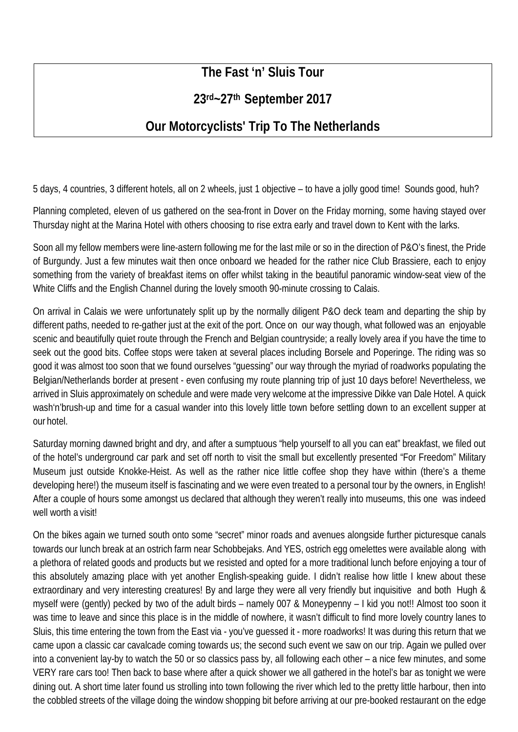## **The Fast 'n' Sluis Tour**

## **23rd~27th September 2017**

## **Our Motorcyclists' Trip To The Netherlands**

5 days, 4 countries, 3 different hotels, all on 2 wheels, just 1 objective – to have a jolly good time! Sounds good, huh?

Planning completed, eleven of us gathered on the sea-front in Dover on the Friday morning, some having stayed over Thursday night at the Marina Hotel with others choosing to rise extra early and travel down to Kent with the larks.

Soon all my fellow members were line-astern following me for the last mile or so in the direction of P&O's finest, the Pride of Burgundy. Just a few minutes wait then once onboard we headed for the rather nice Club Brassiere, each to enjoy something from the variety of breakfast items on offer whilst taking in the beautiful panoramic window-seat view of the White Cliffs and the English Channel during the lovely smooth 90-minute crossing to Calais.

On arrival in Calais we were unfortunately split up by the normally diligent P&O deck team and departing the ship by different paths, needed to re-gather just at the exit of the port. Once on our way though, what followed was an enjoyable scenic and beautifully quiet route through the French and Belgian countryside; a really lovely area if you have the time to seek out the good bits. Coffee stops were taken at several places including Borsele and Poperinge. The riding was so good it was almost too soon that we found ourselves "guessing" our way through the myriad of roadworks populating the Belgian/Netherlands border at present - even confusing my route planning trip of just 10 days before! Nevertheless, we arrived in Sluis approximately on schedule and were made very welcome at the impressive Dikke van Dale Hotel. A quick wash'n'brush-up and time for a casual wander into this lovely little town before settling down to an excellent supper at our hotel.

Saturday morning dawned bright and dry, and after a sumptuous "help yourself to all you can eat" breakfast, we filed out of the hotel's underground car park and set off north to visit the small but excellently presented "For Freedom" Military Museum just outside Knokke-Heist. As well as the rather nice little coffee shop they have within (there's a theme developing here!) the museum itself is fascinating and we were even treated to a personal tour by the owners, in English! After a couple of hours some amongst us declared that although they weren't really into museums, this one was indeed well worth a visitl

On the bikes again we turned south onto some "secret" minor roads and avenues alongside further picturesque canals towards our lunch break at an ostrich farm near Schobbejaks. And YES, ostrich egg omelettes were available along with a plethora of related goods and products but we resisted and opted for a more traditional lunch before enjoying a tour of this absolutely amazing place with yet another English-speaking guide. I didn't realise how little I knew about these extraordinary and very interesting creatures! By and large they were all very friendly but inquisitive and both Hugh & myself were (gently) pecked by two of the adult birds – namely 007 & Moneypenny – I kid you not!! Almost too soon it was time to leave and since this place is in the middle of nowhere, it wasn't difficult to find more lovely country lanes to Sluis, this time entering the town from the East via - you've guessed it - more roadworks! It was during this return that we came upon a classic car cavalcade coming towards us; the second such event we saw on our trip. Again we pulled over into a convenient lay-by to watch the 50 or so classics pass by, all following each other – a nice few minutes, and some VERY rare cars too! Then back to base where after a quick shower we all gathered in the hotel's bar as tonight we were dining out. A short time later found us strolling into town following the river which led to the pretty little harbour, then into the cobbled streets of the village doing the window shopping bit before arriving at our pre-booked restaurant on the edge